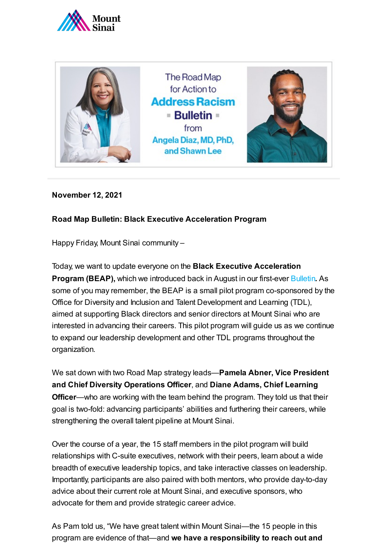



**November 12, 2021**

## **Road Map Bulletin: Black Executive Acceleration Program**

Happy Friday, Mount Sinai community –

Today, we want to update everyone on the **Black Executive Acceleration Program (BEAP),** which we introduced back in August in our first-ever [Bulletin](https://www.mountsinai.org/about/addressing-racism/bulletins). As some of you may remember, the BEAP is a small pilot program co-sponsored by the Office for Diversity and Inclusion and Talent Development and Learning (TDL), aimed at supporting Black directors and senior directors at Mount Sinai who are interested in advancing their careers. This pilot program will guide us as we continue to expand our leadership development and other TDL programs throughout the organization.

We sat down with two Road Map strategy leads—**Pamela Abner, Vice President and Chief Diversity Operations Officer**, and **Diane Adams, Chief Learning Officer**—who are working with the team behind the program. They told us that their goal is two-fold: advancing participants' abilities and furthering their careers, while strengthening the overall talent pipeline at Mount Sinai.

Over the course of a year, the 15 staff members in the pilot program will build relationships with C-suite executives, network with their peers, learn about a wide breadth of executive leadership topics, and take interactive classes on leadership. Importantly, participants are also paired with both mentors, who provide day-to-day advice about their current role at Mount Sinai, and executive sponsors, who advocate for them and provide strategic career advice.

As Pam told us, "We have great talent within Mount Sinai—the 15 people in this program are evidence of that—and **we have a responsibility to reach out and**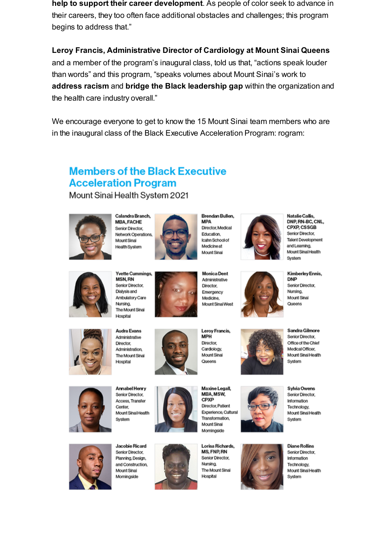help to support their career development. As people of color seek to advance in their careers, they too often face additional obstacles and challenges; this program begins to address that."

Leroy Francis, Administrative Director of Cardiology at Mount Sinai Queens and a member of the program's inaugural class, told us that, "actions speak louder than words" and this program, "speaks volumes about Mount Sinai's work to address racism and bridge the Black leadership gap within the organization and the health care industry overall."

We encourage everyone to get to know the 15 Mount Sinai team members who are in the inaugural class of the Black Executive Acceleration Program: rogram:

## **Members of the Black Executive Acceleration Program**

Mount Sinai Health System 2021



Calandra Branch, **MBA, FACHE** Senior Director, Network Operations Mount Sinai Health System



**MPA** Director, Medical Education. Icahn School of Medicineat Mount Sinai

Brendan Bullen,



Natalie Callis DNP, RN-BC, CNL, **CPXP, CSSGB** Senior Director. **Talent Development** and Learning. Mount Sinai Health System



**Yvette Cummings, MSN, RN** Senior Director. Dialysis and Ambulatory Care Nursing. The Mount Sinai Hospital

Hospital

Annabel Henry

Senior Director.

Access, Transfer

Mount Sinai Health

Center,

System



**Audra Evans** Administrative Director. Administration. The Mount Sinai



Leroy Francis, **MPH** Director, Cardiology Mount Sinai Queens

Maxine Legall,

Director, Patient

Transformation

Mount Sinai Morningside

Experience, Cultural

MBA, MSW,

CPXP

Emergency

Mount Sinai West

Medicine.



Sandra Gilmore Senior Director. Office of the Chief Medical Officer. Mount Sinai Health System



Sylvia Owens



Jacobie Ricard Senior Director, Planning, Design. and Construction. Mount Sinai Morningside



Lorisa Richards. MS, FNP, RN Senior Director, Nursing. The Mount Sinai Hospital



Kimberley Ennis, **DNP** Senior Director Nursing, Mount Sinai Queens



Mount Sinai Health

**Diane Rollins** Senior Director, Information Technology, Mount Sinai Health System

**Monica Dent** Administrative Director,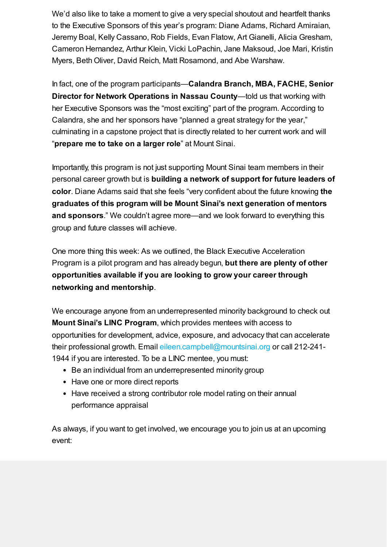We'd also like to take a moment to give a very special shoutout and heartfelt thanks to the Executive Sponsors of this year's program: Diane Adams, Richard Amiraian, Jeremy Boal, Kelly Cassano, Rob Fields, Evan Flatow, Art Gianelli, Alicia Gresham, Cameron Hernandez, Arthur Klein, Vicki LoPachin, Jane Maksoud, Joe Mari, Kristin Myers, Beth Oliver, David Reich, Matt Rosamond, and Abe Warshaw.

In fact, one of the program participants—**Calandra Branch, MBA, FACHE, Senior Director for Network Operations in Nassau County**—told us that working with her Executive Sponsors was the "most exciting" part of the program. According to Calandra, she and her sponsors have "planned a great strategy for the year," culminating in a capstone project that is directly related to her current work and will "**prepare me to take on a larger role**" at Mount Sinai.

Importantly, this program is not just supporting Mount Sinai team members in their personal career growth but is **building a network of support for future leaders of color**. Diane Adams said that she feels "very confident about the future knowing **the graduates of this program will be Mount Sinai's next generation of mentors and sponsors**." We couldn't agree more—and we look forward to everything this group and future classes will achieve.

One more thing this week: As we outlined, the Black Executive Acceleration Program is a pilot program and has already begun, **but there are plenty of other opportunities available if you are looking to grow your career through networking and mentorship**.

We encourage anyone from an underrepresented minority background to check out **Mount Sinai's LINC Program**, which provides mentees with access to opportunities for development, advice, exposure, and advocacy that can accelerate their professional growth. Email [eileen.campbell@mountsinai.org](mailto:eileen.campbell@mountsinai.org) or call 212-241- 1944 if you are interested. To be a LINC mentee, you must:

- Be an individual from an underrepresented minority group
- Have one or more direct reports
- Have received a strong contributor role model rating on their annual performance appraisal

As always, if you want to get involved, we encourage you to join us at an upcoming event: